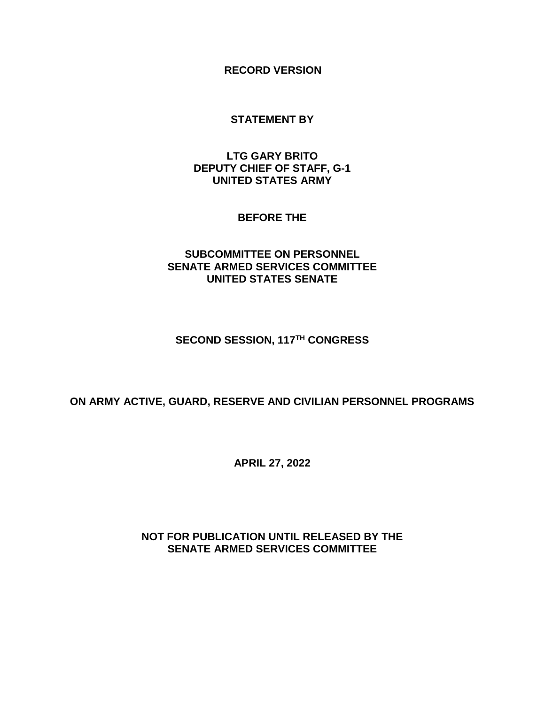**RECORD VERSION**

#### **STATEMENT BY**

### **LTG GARY BRITO DEPUTY CHIEF OF STAFF, G-1 UNITED STATES ARMY**

#### **BEFORE THE**

## **SUBCOMMITTEE ON PERSONNEL SENATE ARMED SERVICES COMMITTEE UNITED STATES SENATE**

#### **SECOND SESSION, 117 TH CONGRESS**

### **ON ARMY ACTIVE, GUARD, RESERVE AND CIVILIAN PERSONNEL PROGRAMS**

**APRIL 27, 2022**

## **NOT FOR PUBLICATION UNTIL RELEASED BY THE SENATE ARMED SERVICES COMMITTEE**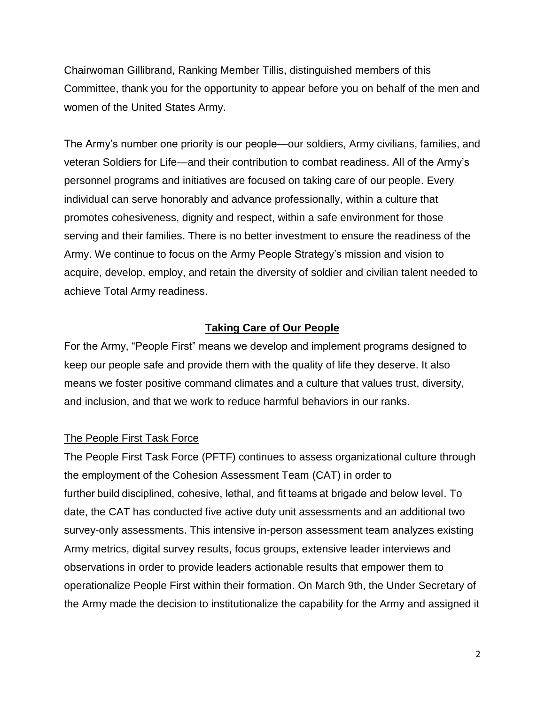Chairwoman Gillibrand, Ranking Member Tillis, distinguished members of this Committee, thank you for the opportunity to appear before you on behalf of the men and women of the United States Army.

The Army's number one priority is our people—our soldiers, Army civilians, families, and veteran Soldiers for Life—and their contribution to combat readiness. All of the Army's personnel programs and initiatives are focused on taking care of our people. Every individual can serve honorably and advance professionally, within a culture that promotes cohesiveness, dignity and respect, within a safe environment for those serving and their families. There is no better investment to ensure the readiness of the Army. We continue to focus on the Army People Strategy's mission and vision to acquire, develop, employ, and retain the diversity of soldier and civilian talent needed to achieve Total Army readiness.

### **Taking Care of Our People**

For the Army, "People First" means we develop and implement programs designed to keep our people safe and provide them with the quality of life they deserve. It also means we foster positive command climates and a culture that values trust, diversity, and inclusion, and that we work to reduce harmful behaviors in our ranks.

### The People First Task Force

The People First Task Force (PFTF) continues to assess organizational culture through the employment of the Cohesion Assessment Team (CAT) in order to further build disciplined, cohesive, lethal, and fit teams at brigade and below level. To date, the CAT has conducted five active duty unit assessments and an additional two survey-only assessments. This intensive in-person assessment team analyzes existing Army metrics, digital survey results, focus groups, extensive leader interviews and observations in order to provide leaders actionable results that empower them to operationalize People First within their formation. On March 9th, the Under Secretary of the Army made the decision to institutionalize the capability for the Army and assigned it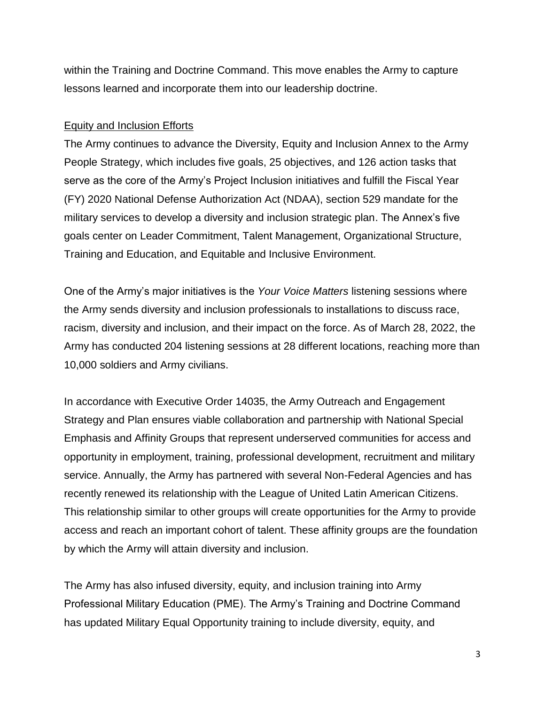within the Training and Doctrine Command. This move enables the Army to capture lessons learned and incorporate them into our leadership doctrine.

### Equity and Inclusion Efforts

The Army continues to advance the Diversity, Equity and Inclusion Annex to the Army People Strategy, which includes five goals, 25 objectives, and 126 action tasks that serve as the core of the Army's Project Inclusion initiatives and fulfill the Fiscal Year (FY) 2020 National Defense Authorization Act (NDAA), section 529 mandate for the military services to develop a diversity and inclusion strategic plan. The Annex's five goals center on Leader Commitment, Talent Management, Organizational Structure, Training and Education, and Equitable and Inclusive Environment.

One of the Army's major initiatives is the *Your Voice Matters* listening sessions where the Army sends diversity and inclusion professionals to installations to discuss race, racism, diversity and inclusion, and their impact on the force. As of March 28, 2022, the Army has conducted 204 listening sessions at 28 different locations, reaching more than 10,000 soldiers and Army civilians.

In accordance with Executive Order 14035, the Army Outreach and Engagement Strategy and Plan ensures viable collaboration and partnership with National Special Emphasis and Affinity Groups that represent underserved communities for access and opportunity in employment, training, professional development, recruitment and military service. Annually, the Army has partnered with several Non-Federal Agencies and has recently renewed its relationship with the League of United Latin American Citizens. This relationship similar to other groups will create opportunities for the Army to provide access and reach an important cohort of talent. These affinity groups are the foundation by which the Army will attain diversity and inclusion.

The Army has also infused diversity, equity, and inclusion training into Army Professional Military Education (PME). The Army's Training and Doctrine Command has updated Military Equal Opportunity training to include diversity, equity, and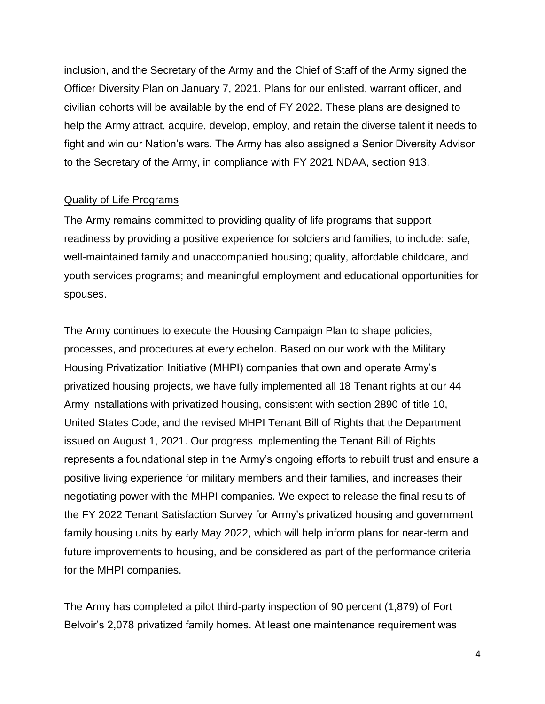inclusion, and the Secretary of the Army and the Chief of Staff of the Army signed the Officer Diversity Plan on January 7, 2021. Plans for our enlisted, warrant officer, and civilian cohorts will be available by the end of FY 2022. These plans are designed to help the Army attract, acquire, develop, employ, and retain the diverse talent it needs to fight and win our Nation's wars. The Army has also assigned a Senior Diversity Advisor to the Secretary of the Army, in compliance with FY 2021 NDAA, section 913.

### Quality of Life Programs

The Army remains committed to providing quality of life programs that support readiness by providing a positive experience for soldiers and families, to include: safe, well-maintained family and unaccompanied housing; quality, affordable childcare, and youth services programs; and meaningful employment and educational opportunities for spouses.

The Army continues to execute the Housing Campaign Plan to shape policies, processes, and procedures at every echelon. Based on our work with the Military Housing Privatization Initiative (MHPI) companies that own and operate Army's privatized housing projects, we have fully implemented all 18 Tenant rights at our 44 Army installations with privatized housing, consistent with section 2890 of title 10, United States Code, and the revised MHPI Tenant Bill of Rights that the Department issued on August 1, 2021. Our progress implementing the Tenant Bill of Rights represents a foundational step in the Army's ongoing efforts to rebuilt trust and ensure a positive living experience for military members and their families, and increases their negotiating power with the MHPI companies. We expect to release the final results of the FY 2022 Tenant Satisfaction Survey for Army's privatized housing and government family housing units by early May 2022, which will help inform plans for near-term and future improvements to housing, and be considered as part of the performance criteria for the MHPI companies.

The Army has completed a pilot third-party inspection of 90 percent (1,879) of Fort Belvoir's 2,078 privatized family homes. At least one maintenance requirement was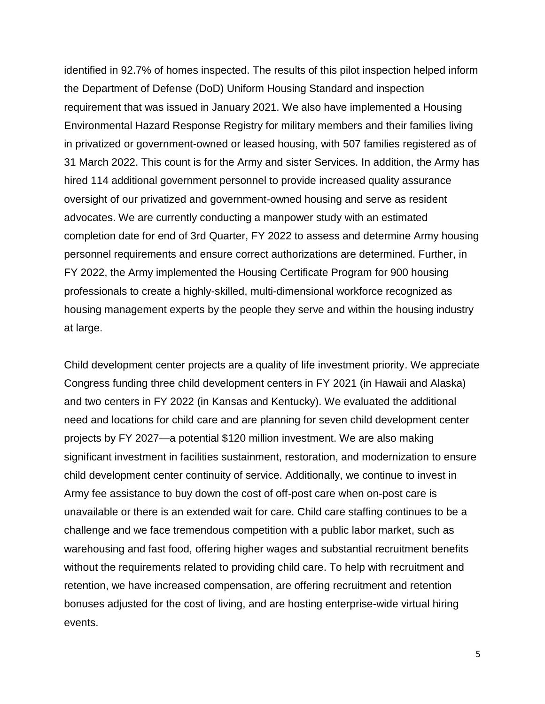identified in 92.7% of homes inspected. The results of this pilot inspection helped inform the Department of Defense (DoD) Uniform Housing Standard and inspection requirement that was issued in January 2021. We also have implemented a Housing Environmental Hazard Response Registry for military members and their families living in privatized or government-owned or leased housing, with 507 families registered as of 31 March 2022. This count is for the Army and sister Services. In addition, the Army has hired 114 additional government personnel to provide increased quality assurance oversight of our privatized and government-owned housing and serve as resident advocates. We are currently conducting a manpower study with an estimated completion date for end of 3rd Quarter, FY 2022 to assess and determine Army housing personnel requirements and ensure correct authorizations are determined. Further, in FY 2022, the Army implemented the Housing Certificate Program for 900 housing professionals to create a highly-skilled, multi-dimensional workforce recognized as housing management experts by the people they serve and within the housing industry at large.

Child development center projects are a quality of life investment priority. We appreciate Congress funding three child development centers in FY 2021 (in Hawaii and Alaska) and two centers in FY 2022 (in Kansas and Kentucky). We evaluated the additional need and locations for child care and are planning for seven child development center projects by FY 2027—a potential \$120 million investment. We are also making significant investment in facilities sustainment, restoration, and modernization to ensure child development center continuity of service. Additionally, we continue to invest in Army fee assistance to buy down the cost of off-post care when on-post care is unavailable or there is an extended wait for care. Child care staffing continues to be a challenge and we face tremendous competition with a public labor market, such as warehousing and fast food, offering higher wages and substantial recruitment benefits without the requirements related to providing child care. To help with recruitment and retention, we have increased compensation, are offering recruitment and retention bonuses adjusted for the cost of living, and are hosting enterprise-wide virtual hiring events.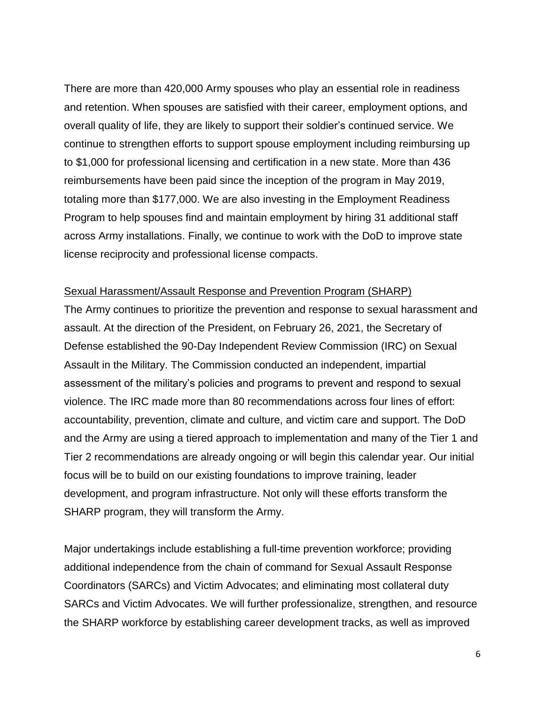There are more than 420,000 Army spouses who play an essential role in readiness and retention. When spouses are satisfied with their career, employment options, and overall quality of life, they are likely to support their soldier's continued service. We continue to strengthen efforts to support spouse employment including reimbursing up to \$1,000 for professional licensing and certification in a new state. More than 436 reimbursements have been paid since the inception of the program in May 2019, totaling more than \$177,000. We are also investing in the Employment Readiness Program to help spouses find and maintain employment by hiring 31 additional staff across Army installations. Finally, we continue to work with the DoD to improve state license reciprocity and professional license compacts.

#### Sexual Harassment/Assault Response and Prevention Program (SHARP)

The Army continues to prioritize the prevention and response to sexual harassment and assault. At the direction of the President, on February 26, 2021, the Secretary of Defense established the 90-Day Independent Review Commission (IRC) on Sexual Assault in the Military. The Commission conducted an independent, impartial assessment of the military's policies and programs to prevent and respond to sexual violence. The IRC made more than 80 recommendations across four lines of effort: accountability, prevention, climate and culture, and victim care and support. The DoD and the Army are using a tiered approach to implementation and many of the Tier 1 and Tier 2 recommendations are already ongoing or will begin this calendar year. Our initial focus will be to build on our existing foundations to improve training, leader development, and program infrastructure. Not only will these efforts transform the SHARP program, they will transform the Army.

Major undertakings include establishing a full-time prevention workforce; providing additional independence from the chain of command for Sexual Assault Response Coordinators (SARCs) and Victim Advocates; and eliminating most collateral duty SARCs and Victim Advocates. We will further professionalize, strengthen, and resource the SHARP workforce by establishing career development tracks, as well as improved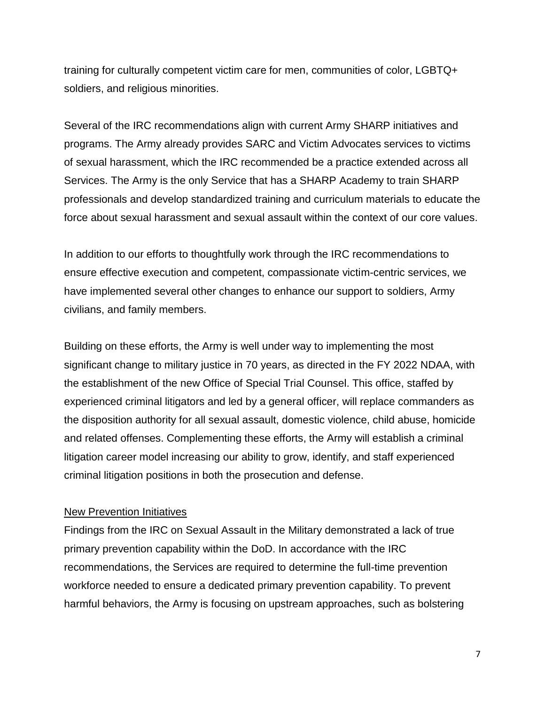training for culturally competent victim care for men, communities of color, LGBTQ+ soldiers, and religious minorities.

Several of the IRC recommendations align with current Army SHARP initiatives and programs. The Army already provides SARC and Victim Advocates services to victims of sexual harassment, which the IRC recommended be a practice extended across all Services. The Army is the only Service that has a SHARP Academy to train SHARP professionals and develop standardized training and curriculum materials to educate the force about sexual harassment and sexual assault within the context of our core values.

In addition to our efforts to thoughtfully work through the IRC recommendations to ensure effective execution and competent, compassionate victim-centric services, we have implemented several other changes to enhance our support to soldiers, Army civilians, and family members.

Building on these efforts, the Army is well under way to implementing the most significant change to military justice in 70 years, as directed in the FY 2022 NDAA, with the establishment of the new Office of Special Trial Counsel. This office, staffed by experienced criminal litigators and led by a general officer, will replace commanders as the disposition authority for all sexual assault, domestic violence, child abuse, homicide and related offenses. Complementing these efforts, the Army will establish a criminal litigation career model increasing our ability to grow, identify, and staff experienced criminal litigation positions in both the prosecution and defense.

#### New Prevention Initiatives

Findings from the IRC on Sexual Assault in the Military demonstrated a lack of true primary prevention capability within the DoD. In accordance with the IRC recommendations, the Services are required to determine the full-time prevention workforce needed to ensure a dedicated primary prevention capability. To prevent harmful behaviors, the Army is focusing on upstream approaches, such as bolstering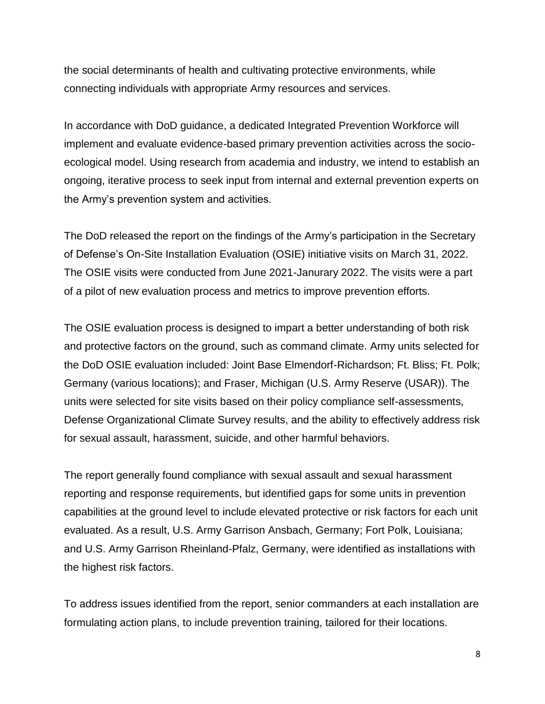the social determinants of health and cultivating protective environments, while connecting individuals with appropriate Army resources and services.

In accordance with DoD guidance, a dedicated Integrated Prevention Workforce will implement and evaluate evidence-based primary prevention activities across the socioecological model. Using research from academia and industry, we intend to establish an ongoing, iterative process to seek input from internal and external prevention experts on the Army's prevention system and activities.

The DoD released the report on the findings of the Army's participation in the Secretary of Defense's On-Site Installation Evaluation (OSIE) initiative visits on March 31, 2022. The OSIE visits were conducted from June 2021-Janurary 2022. The visits were a part of a pilot of new evaluation process and metrics to improve prevention efforts.

The OSIE evaluation process is designed to impart a better understanding of both risk and protective factors on the ground, such as command climate. Army units selected for the DoD OSIE evaluation included: Joint Base Elmendorf-Richardson; Ft. Bliss; Ft. Polk; Germany (various locations); and Fraser, Michigan (U.S. Army Reserve (USAR)). The units were selected for site visits based on their policy compliance self-assessments, Defense Organizational Climate Survey results, and the ability to effectively address risk for sexual assault, harassment, suicide, and other harmful behaviors.

The report generally found compliance with sexual assault and sexual harassment reporting and response requirements, but identified gaps for some units in prevention capabilities at the ground level to include elevated protective or risk factors for each unit evaluated. As a result, U.S. Army Garrison Ansbach, Germany; Fort Polk, Louisiana; and U.S. Army Garrison Rheinland-Pfalz, Germany, were identified as installations with the highest risk factors.

To address issues identified from the report, senior commanders at each installation are formulating action plans, to include prevention training, tailored for their locations.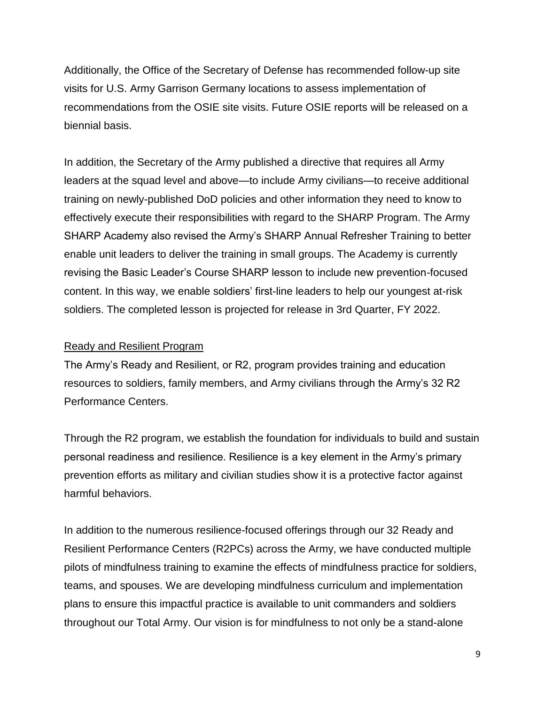Additionally, the Office of the Secretary of Defense has recommended follow-up site visits for U.S. Army Garrison Germany locations to assess implementation of recommendations from the OSIE site visits. Future OSIE reports will be released on a biennial basis.

In addition, the Secretary of the Army published a directive that requires all Army leaders at the squad level and above—to include Army civilians—to receive additional training on newly-published DoD policies and other information they need to know to effectively execute their responsibilities with regard to the SHARP Program. The Army SHARP Academy also revised the Army's SHARP Annual Refresher Training to better enable unit leaders to deliver the training in small groups. The Academy is currently revising the Basic Leader's Course SHARP lesson to include new prevention-focused content. In this way, we enable soldiers' first-line leaders to help our youngest at-risk soldiers. The completed lesson is projected for release in 3rd Quarter, FY 2022.

#### Ready and Resilient Program

The Army's Ready and Resilient, or R2, program provides training and education resources to soldiers, family members, and Army civilians through the Army's 32 R2 Performance Centers.

Through the R2 program, we establish the foundation for individuals to build and sustain personal readiness and resilience. Resilience is a key element in the Army's primary prevention efforts as military and civilian studies show it is a protective factor against harmful behaviors.

In addition to the numerous resilience-focused offerings through our 32 Ready and Resilient Performance Centers (R2PCs) across the Army, we have conducted multiple pilots of mindfulness training to examine the effects of mindfulness practice for soldiers, teams, and spouses. We are developing mindfulness curriculum and implementation plans to ensure this impactful practice is available to unit commanders and soldiers throughout our Total Army. Our vision is for mindfulness to not only be a stand-alone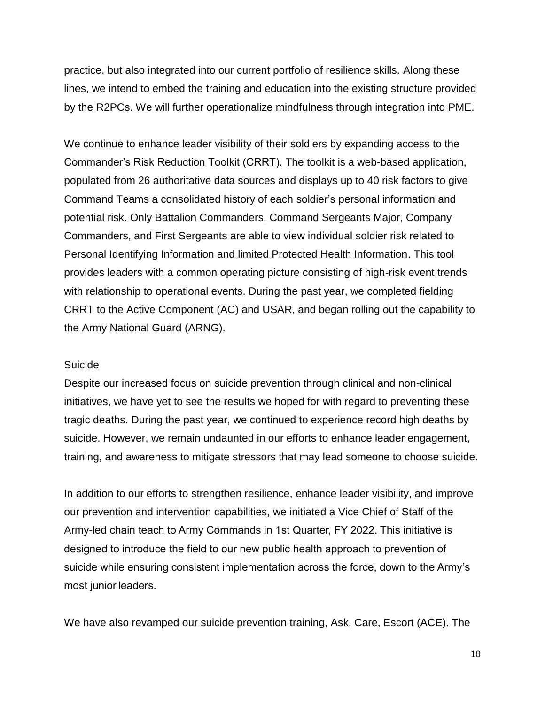practice, but also integrated into our current portfolio of resilience skills. Along these lines, we intend to embed the training and education into the existing structure provided by the R2PCs. We will further operationalize mindfulness through integration into PME.

We continue to enhance leader visibility of their soldiers by expanding access to the Commander's Risk Reduction Toolkit (CRRT). The toolkit is a web-based application, populated from 26 authoritative data sources and displays up to 40 risk factors to give Command Teams a consolidated history of each soldier's personal information and potential risk. Only Battalion Commanders, Command Sergeants Major, Company Commanders, and First Sergeants are able to view individual soldier risk related to Personal Identifying Information and limited Protected Health Information. This tool provides leaders with a common operating picture consisting of high-risk event trends with relationship to operational events. During the past year, we completed fielding CRRT to the Active Component (AC) and USAR, and began rolling out the capability to the Army National Guard (ARNG).

#### Suicide

Despite our increased focus on suicide prevention through clinical and non-clinical initiatives, we have yet to see the results we hoped for with regard to preventing these tragic deaths. During the past year, we continued to experience record high deaths by suicide. However, we remain undaunted in our efforts to enhance leader engagement, training, and awareness to mitigate stressors that may lead someone to choose suicide.

In addition to our efforts to strengthen resilience, enhance leader visibility, and improve our prevention and intervention capabilities, we initiated a Vice Chief of Staff of the Army-led chain teach to Army Commands in 1st Quarter, FY 2022. This initiative is designed to introduce the field to our new public health approach to prevention of suicide while ensuring consistent implementation across the force, down to the Army's most junior leaders.

We have also revamped our suicide prevention training, Ask, Care, Escort (ACE). The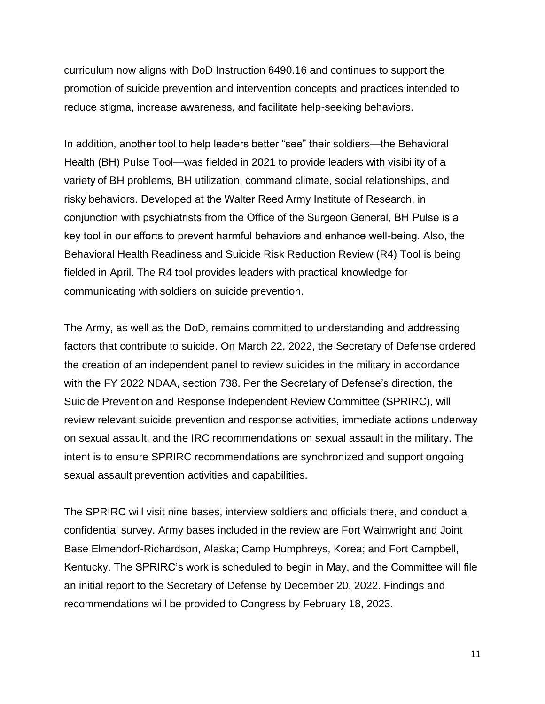curriculum now aligns with DoD Instruction 6490.16 and continues to support the promotion of suicide prevention and intervention concepts and practices intended to reduce stigma, increase awareness, and facilitate help-seeking behaviors.

In addition, another tool to help leaders better "see" their soldiers—the Behavioral Health (BH) Pulse Tool—was fielded in 2021 to provide leaders with visibility of a variety of BH problems, BH utilization, command climate, social relationships, and risky behaviors. Developed at the Walter Reed Army Institute of Research, in conjunction with psychiatrists from the Office of the Surgeon General, BH Pulse is a key tool in our efforts to prevent harmful behaviors and enhance well-being. Also, the Behavioral Health Readiness and Suicide Risk Reduction Review (R4) Tool is being fielded in April. The R4 tool provides leaders with practical knowledge for communicating with soldiers on suicide prevention.

The Army, as well as the DoD, remains committed to understanding and addressing factors that contribute to suicide. On March 22, 2022, the Secretary of Defense ordered the creation of an independent panel to review suicides in the military in accordance with the FY 2022 NDAA, section 738. Per the Secretary of Defense's direction, the Suicide Prevention and Response Independent Review Committee (SPRIRC), will review relevant suicide prevention and response activities, immediate actions underway on sexual assault, and the IRC recommendations on sexual assault in the military. The intent is to ensure SPRIRC recommendations are synchronized and support ongoing sexual assault prevention activities and capabilities.

The SPRIRC will visit nine bases, interview soldiers and officials there, and conduct a confidential survey. Army bases included in the review are Fort Wainwright and Joint Base Elmendorf-Richardson, Alaska; Camp Humphreys, Korea; and Fort Campbell, Kentucky. The SPRIRC's work is scheduled to begin in May, and the Committee will file an initial report to the Secretary of Defense by December 20, 2022. Findings and recommendations will be provided to Congress by February 18, 2023.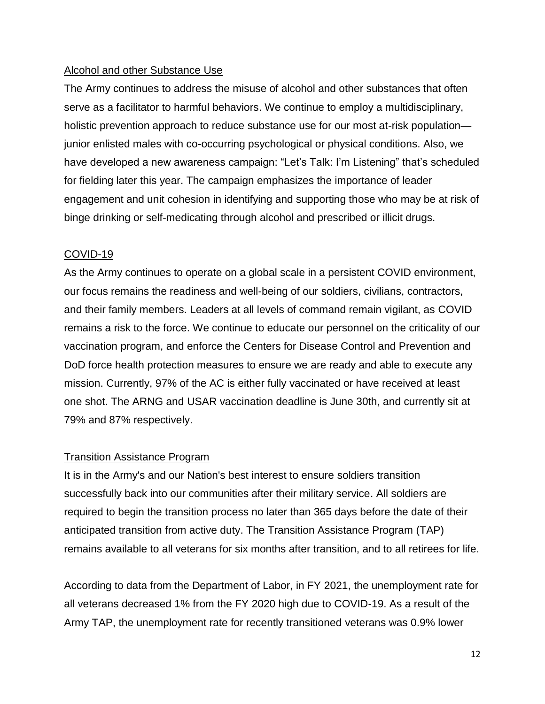## Alcohol and other Substance Use

The Army continues to address the misuse of alcohol and other substances that often serve as a facilitator to harmful behaviors. We continue to employ a multidisciplinary, holistic prevention approach to reduce substance use for our most at-risk population junior enlisted males with co-occurring psychological or physical conditions. Also, we have developed a new awareness campaign: "Let's Talk: I'm Listening" that's scheduled for fielding later this year. The campaign emphasizes the importance of leader engagement and unit cohesion in identifying and supporting those who may be at risk of binge drinking or self-medicating through alcohol and prescribed or illicit drugs.

### COVID-19

As the Army continues to operate on a global scale in a persistent COVID environment, our focus remains the readiness and well-being of our soldiers, civilians, contractors, and their family members. Leaders at all levels of command remain vigilant, as COVID remains a risk to the force. We continue to educate our personnel on the criticality of our vaccination program, and enforce the Centers for Disease Control and Prevention and DoD force health protection measures to ensure we are ready and able to execute any mission. Currently, 97% of the AC is either fully vaccinated or have received at least one shot. The ARNG and USAR vaccination deadline is June 30th, and currently sit at 79% and 87% respectively.

### Transition Assistance Program

It is in the Army's and our Nation's best interest to ensure soldiers transition successfully back into our communities after their military service. All soldiers are required to begin the transition process no later than 365 days before the date of their anticipated transition from active duty. The Transition Assistance Program (TAP) remains available to all veterans for six months after transition, and to all retirees for life.

According to data from the Department of Labor, in FY 2021, the unemployment rate for all veterans decreased 1% from the FY 2020 high due to COVID-19. As a result of the Army TAP, the unemployment rate for recently transitioned veterans was 0.9% lower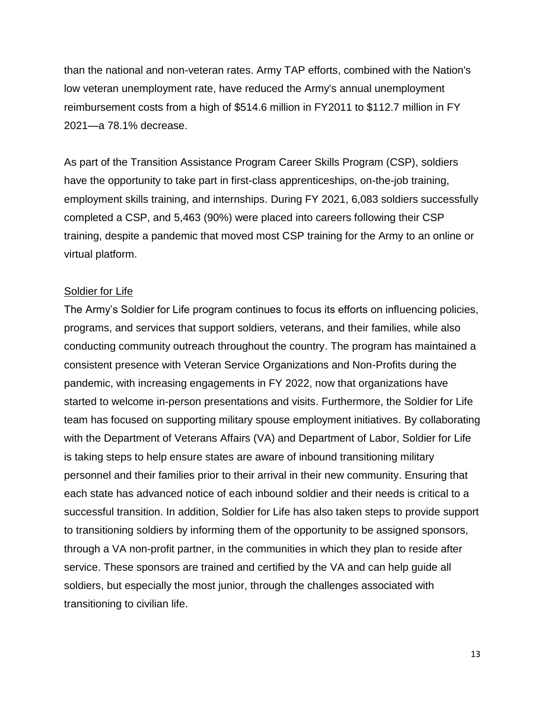than the national and non-veteran rates. Army TAP efforts, combined with the Nation's low veteran unemployment rate, have reduced the Army's annual unemployment reimbursement costs from a high of \$514.6 million in FY2011 to \$112.7 million in FY 2021—a 78.1% decrease.

As part of the Transition Assistance Program Career Skills Program (CSP), soldiers have the opportunity to take part in first-class apprenticeships, on-the-job training, employment skills training, and internships. During FY 2021, 6,083 soldiers successfully completed a CSP, and 5,463 (90%) were placed into careers following their CSP training, despite a pandemic that moved most CSP training for the Army to an online or virtual platform.

#### Soldier for Life

The Army's Soldier for Life program continues to focus its efforts on influencing policies, programs, and services that support soldiers, veterans, and their families, while also conducting community outreach throughout the country. The program has maintained a consistent presence with Veteran Service Organizations and Non-Profits during the pandemic, with increasing engagements in FY 2022, now that organizations have started to welcome in-person presentations and visits. Furthermore, the Soldier for Life team has focused on supporting military spouse employment initiatives. By collaborating with the Department of Veterans Affairs (VA) and Department of Labor, Soldier for Life is taking steps to help ensure states are aware of inbound transitioning military personnel and their families prior to their arrival in their new community. Ensuring that each state has advanced notice of each inbound soldier and their needs is critical to a successful transition. In addition, Soldier for Life has also taken steps to provide support to transitioning soldiers by informing them of the opportunity to be assigned sponsors, through a VA non-profit partner, in the communities in which they plan to reside after service. These sponsors are trained and certified by the VA and can help guide all soldiers, but especially the most junior, through the challenges associated with transitioning to civilian life.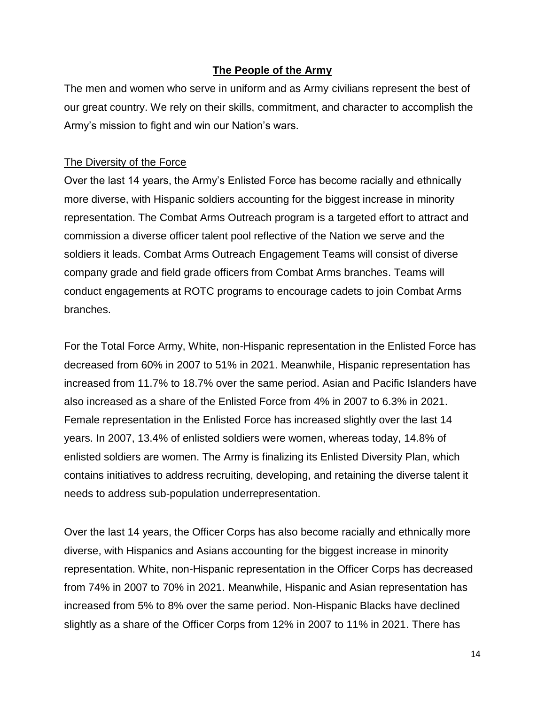### **The People of the Army**

The men and women who serve in uniform and as Army civilians represent the best of our great country. We rely on their skills, commitment, and character to accomplish the Army's mission to fight and win our Nation's wars.

#### The Diversity of the Force

Over the last 14 years, the Army's Enlisted Force has become racially and ethnically more diverse, with Hispanic soldiers accounting for the biggest increase in minority representation. The Combat Arms Outreach program is a targeted effort to attract and commission a diverse officer talent pool reflective of the Nation we serve and the soldiers it leads. Combat Arms Outreach Engagement Teams will consist of diverse company grade and field grade officers from Combat Arms branches. Teams will conduct engagements at ROTC programs to encourage cadets to join Combat Arms branches.

For the Total Force Army, White, non-Hispanic representation in the Enlisted Force has decreased from 60% in 2007 to 51% in 2021. Meanwhile, Hispanic representation has increased from 11.7% to 18.7% over the same period. Asian and Pacific Islanders have also increased as a share of the Enlisted Force from 4% in 2007 to 6.3% in 2021. Female representation in the Enlisted Force has increased slightly over the last 14 years. In 2007, 13.4% of enlisted soldiers were women, whereas today, 14.8% of enlisted soldiers are women. The Army is finalizing its Enlisted Diversity Plan, which contains initiatives to address recruiting, developing, and retaining the diverse talent it needs to address sub-population underrepresentation.

Over the last 14 years, the Officer Corps has also become racially and ethnically more diverse, with Hispanics and Asians accounting for the biggest increase in minority representation. White, non-Hispanic representation in the Officer Corps has decreased from 74% in 2007 to 70% in 2021. Meanwhile, Hispanic and Asian representation has increased from 5% to 8% over the same period. Non-Hispanic Blacks have declined slightly as a share of the Officer Corps from 12% in 2007 to 11% in 2021. There has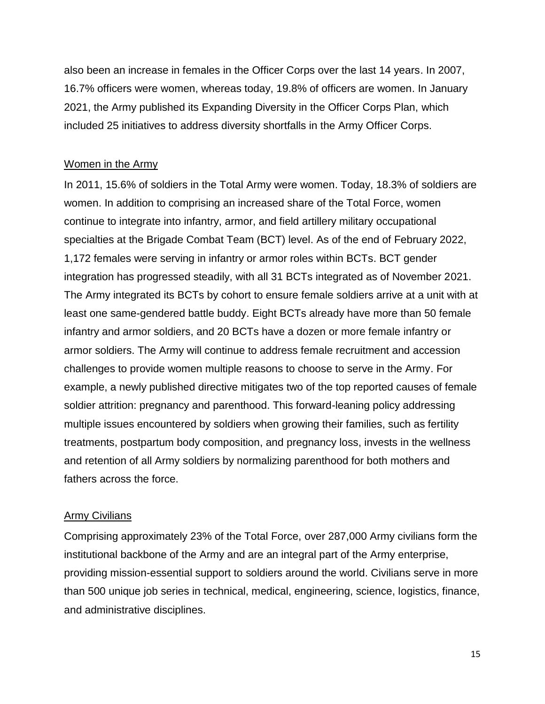also been an increase in females in the Officer Corps over the last 14 years. In 2007, 16.7% officers were women, whereas today, 19.8% of officers are women. In January 2021, the Army published its Expanding Diversity in the Officer Corps Plan, which included 25 initiatives to address diversity shortfalls in the Army Officer Corps.

#### Women in the Army

In 2011, 15.6% of soldiers in the Total Army were women. Today, 18.3% of soldiers are women. In addition to comprising an increased share of the Total Force, women continue to integrate into infantry, armor, and field artillery military occupational specialties at the Brigade Combat Team (BCT) level. As of the end of February 2022, 1,172 females were serving in infantry or armor roles within BCTs. BCT gender integration has progressed steadily, with all 31 BCTs integrated as of November 2021. The Army integrated its BCTs by cohort to ensure female soldiers arrive at a unit with at least one same-gendered battle buddy. Eight BCTs already have more than 50 female infantry and armor soldiers, and 20 BCTs have a dozen or more female infantry or armor soldiers. The Army will continue to address female recruitment and accession challenges to provide women multiple reasons to choose to serve in the Army. For example, a newly published directive mitigates two of the top reported causes of female soldier attrition: pregnancy and parenthood. This forward-leaning policy addressing multiple issues encountered by soldiers when growing their families, such as fertility treatments, postpartum body composition, and pregnancy loss, invests in the wellness and retention of all Army soldiers by normalizing parenthood for both mothers and fathers across the force.

#### Army Civilians

Comprising approximately 23% of the Total Force, over 287,000 Army civilians form the institutional backbone of the Army and are an integral part of the Army enterprise, providing mission-essential support to soldiers around the world. Civilians serve in more than 500 unique job series in technical, medical, engineering, science, logistics, finance, and administrative disciplines.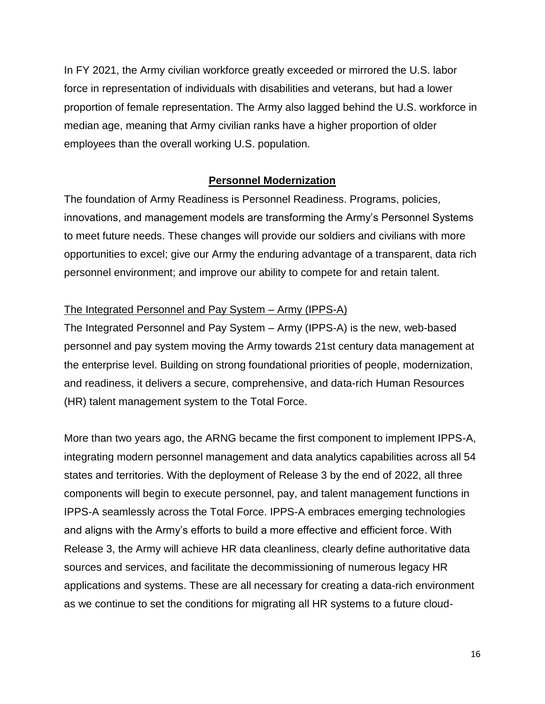In FY 2021, the Army civilian workforce greatly exceeded or mirrored the U.S. labor force in representation of individuals with disabilities and veterans, but had a lower proportion of female representation. The Army also lagged behind the U.S. workforce in median age, meaning that Army civilian ranks have a higher proportion of older employees than the overall working U.S. population.

## **Personnel Modernization**

The foundation of Army Readiness is Personnel Readiness. Programs, policies, innovations, and management models are transforming the Army's Personnel Systems to meet future needs. These changes will provide our soldiers and civilians with more opportunities to excel; give our Army the enduring advantage of a transparent, data rich personnel environment; and improve our ability to compete for and retain talent.

## The Integrated Personnel and Pay System – Army (IPPS-A)

The Integrated Personnel and Pay System – Army (IPPS-A) is the new, web-based personnel and pay system moving the Army towards 21st century data management at the enterprise level. Building on strong foundational priorities of people, modernization, and readiness, it delivers a secure, comprehensive, and data-rich Human Resources (HR) talent management system to the Total Force.

More than two years ago, the ARNG became the first component to implement IPPS-A, integrating modern personnel management and data analytics capabilities across all 54 states and territories. With the deployment of Release 3 by the end of 2022, all three components will begin to execute personnel, pay, and talent management functions in IPPS-A seamlessly across the Total Force. IPPS-A embraces emerging technologies and aligns with the Army's efforts to build a more effective and efficient force. With Release 3, the Army will achieve HR data cleanliness, clearly define authoritative data sources and services, and facilitate the decommissioning of numerous legacy HR applications and systems. These are all necessary for creating a data-rich environment as we continue to set the conditions for migrating all HR systems to a future cloud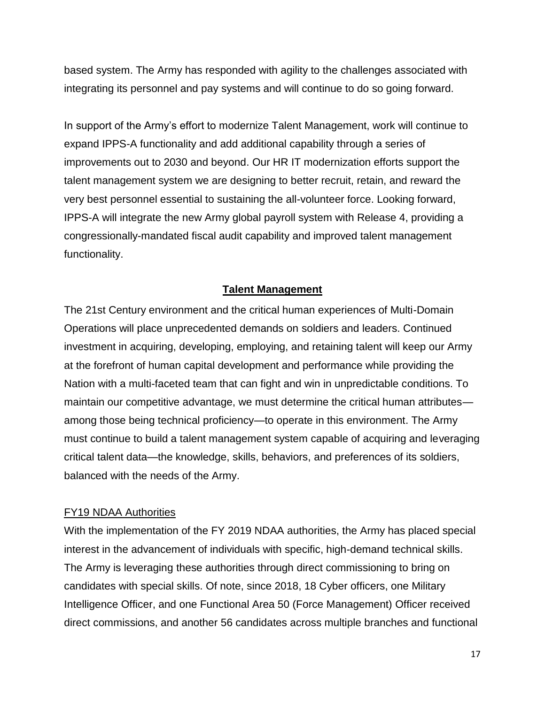based system. The Army has responded with agility to the challenges associated with integrating its personnel and pay systems and will continue to do so going forward.

In support of the Army's effort to modernize Talent Management, work will continue to expand IPPS-A functionality and add additional capability through a series of improvements out to 2030 and beyond. Our HR IT modernization efforts support the talent management system we are designing to better recruit, retain, and reward the very best personnel essential to sustaining the all-volunteer force. Looking forward, IPPS-A will integrate the new Army global payroll system with Release 4, providing a congressionally-mandated fiscal audit capability and improved talent management functionality.

# **Talent Management**

The 21st Century environment and the critical human experiences of Multi-Domain Operations will place unprecedented demands on soldiers and leaders. Continued investment in acquiring, developing, employing, and retaining talent will keep our Army at the forefront of human capital development and performance while providing the Nation with a multi-faceted team that can fight and win in unpredictable conditions. To maintain our competitive advantage, we must determine the critical human attributes among those being technical proficiency—to operate in this environment. The Army must continue to build a talent management system capable of acquiring and leveraging critical talent data—the knowledge, skills, behaviors, and preferences of its soldiers, balanced with the needs of the Army.

### FY19 NDAA Authorities

With the implementation of the FY 2019 NDAA authorities, the Army has placed special interest in the advancement of individuals with specific, high-demand technical skills. The Army is leveraging these authorities through direct commissioning to bring on candidates with special skills. Of note, since 2018, 18 Cyber officers, one Military Intelligence Officer, and one Functional Area 50 (Force Management) Officer received direct commissions, and another 56 candidates across multiple branches and functional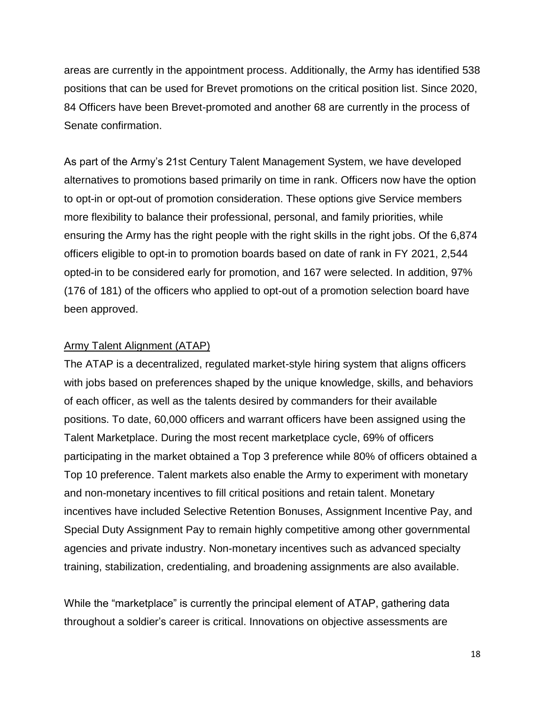areas are currently in the appointment process. Additionally, the Army has identified 538 positions that can be used for Brevet promotions on the critical position list. Since 2020, 84 Officers have been Brevet-promoted and another 68 are currently in the process of Senate confirmation.

As part of the Army's 21st Century Talent Management System, we have developed alternatives to promotions based primarily on time in rank. Officers now have the option to opt-in or opt-out of promotion consideration. These options give Service members more flexibility to balance their professional, personal, and family priorities, while ensuring the Army has the right people with the right skills in the right jobs. Of the 6,874 officers eligible to opt-in to promotion boards based on date of rank in FY 2021, 2,544 opted-in to be considered early for promotion, and 167 were selected. In addition, 97% (176 of 181) of the officers who applied to opt-out of a promotion selection board have been approved.

#### Army Talent Alignment (ATAP)

The ATAP is a decentralized, regulated market-style hiring system that aligns officers with jobs based on preferences shaped by the unique knowledge, skills, and behaviors of each officer, as well as the talents desired by commanders for their available positions. To date, 60,000 officers and warrant officers have been assigned using the Talent Marketplace. During the most recent marketplace cycle, 69% of officers participating in the market obtained a Top 3 preference while 80% of officers obtained a Top 10 preference. Talent markets also enable the Army to experiment with monetary and non-monetary incentives to fill critical positions and retain talent. Monetary incentives have included Selective Retention Bonuses, Assignment Incentive Pay, and Special Duty Assignment Pay to remain highly competitive among other governmental agencies and private industry. Non-monetary incentives such as advanced specialty training, stabilization, credentialing, and broadening assignments are also available.

While the "marketplace" is currently the principal element of ATAP, gathering data throughout a soldier's career is critical. Innovations on objective assessments are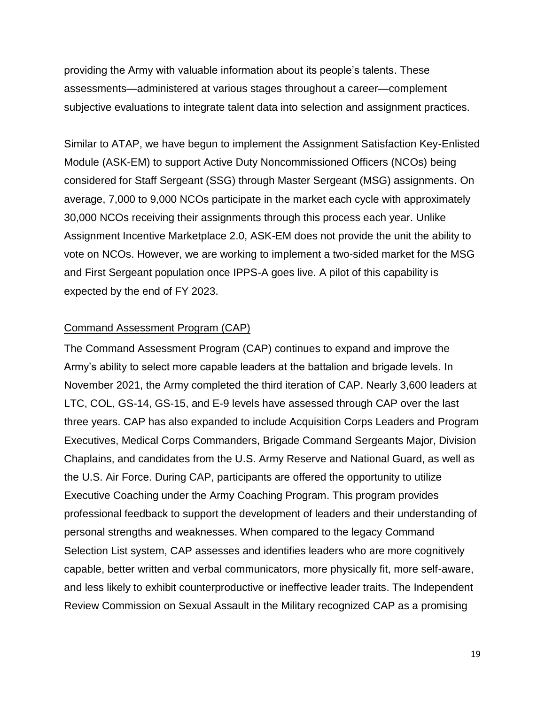providing the Army with valuable information about its people's talents. These assessments—administered at various stages throughout a career—complement subjective evaluations to integrate talent data into selection and assignment practices.

Similar to ATAP, we have begun to implement the Assignment Satisfaction Key-Enlisted Module (ASK-EM) to support Active Duty Noncommissioned Officers (NCOs) being considered for Staff Sergeant (SSG) through Master Sergeant (MSG) assignments. On average, 7,000 to 9,000 NCOs participate in the market each cycle with approximately 30,000 NCOs receiving their assignments through this process each year. Unlike Assignment Incentive Marketplace 2.0, ASK-EM does not provide the unit the ability to vote on NCOs. However, we are working to implement a two-sided market for the MSG and First Sergeant population once IPPS-A goes live. A pilot of this capability is expected by the end of FY 2023.

#### Command Assessment Program (CAP)

The Command Assessment Program (CAP) continues to expand and improve the Army's ability to select more capable leaders at the battalion and brigade levels. In November 2021, the Army completed the third iteration of CAP. Nearly 3,600 leaders at LTC, COL, GS-14, GS-15, and E-9 levels have assessed through CAP over the last three years. CAP has also expanded to include Acquisition Corps Leaders and Program Executives, Medical Corps Commanders, Brigade Command Sergeants Major, Division Chaplains, and candidates from the U.S. Army Reserve and National Guard, as well as the U.S. Air Force. During CAP, participants are offered the opportunity to utilize Executive Coaching under the Army Coaching Program. This program provides professional feedback to support the development of leaders and their understanding of personal strengths and weaknesses. When compared to the legacy Command Selection List system, CAP assesses and identifies leaders who are more cognitively capable, better written and verbal communicators, more physically fit, more self-aware, and less likely to exhibit counterproductive or ineffective leader traits. The Independent Review Commission on Sexual Assault in the Military recognized CAP as a promising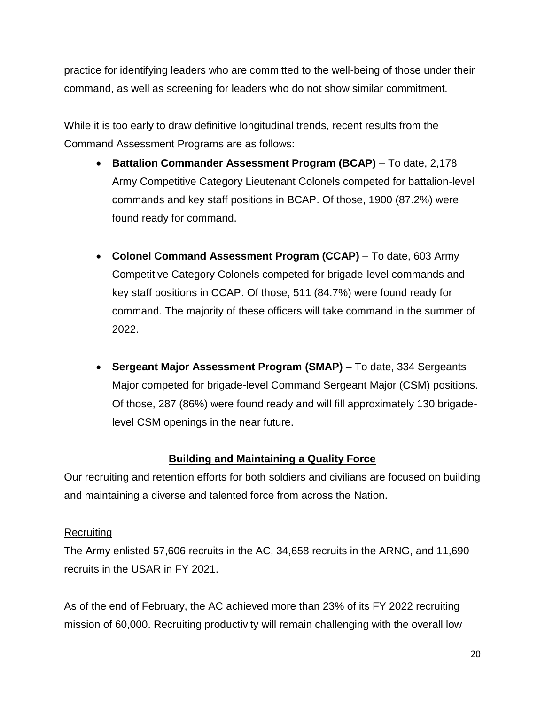practice for identifying leaders who are committed to the well-being of those under their command, as well as screening for leaders who do not show similar commitment.

While it is too early to draw definitive longitudinal trends, recent results from the Command Assessment Programs are as follows:

- **Battalion Commander Assessment Program (BCAP)** To date, 2,178 Army Competitive Category Lieutenant Colonels competed for battalion-level commands and key staff positions in BCAP. Of those, 1900 (87.2%) were found ready for command.
- **Colonel Command Assessment Program (CCAP)** To date, 603 Army Competitive Category Colonels competed for brigade-level commands and key staff positions in CCAP. Of those, 511 (84.7%) were found ready for command. The majority of these officers will take command in the summer of 2022.
- **Sergeant Major Assessment Program (SMAP)** To date, 334 Sergeants Major competed for brigade-level Command Sergeant Major (CSM) positions. Of those, 287 (86%) were found ready and will fill approximately 130 brigadelevel CSM openings in the near future.

# **Building and Maintaining a Quality Force**

Our recruiting and retention efforts for both soldiers and civilians are focused on building and maintaining a diverse and talented force from across the Nation.

# **Recruiting**

The Army enlisted 57,606 recruits in the AC, 34,658 recruits in the ARNG, and 11,690 recruits in the USAR in FY 2021.

As of the end of February, the AC achieved more than 23% of its FY 2022 recruiting mission of 60,000. Recruiting productivity will remain challenging with the overall low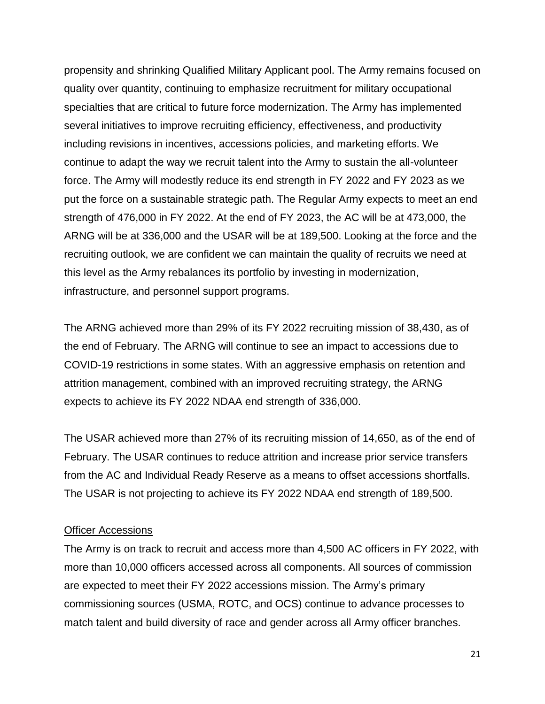propensity and shrinking Qualified Military Applicant pool. The Army remains focused on quality over quantity, continuing to emphasize recruitment for military occupational specialties that are critical to future force modernization. The Army has implemented several initiatives to improve recruiting efficiency, effectiveness, and productivity including revisions in incentives, accessions policies, and marketing efforts. We continue to adapt the way we recruit talent into the Army to sustain the all-volunteer force. The Army will modestly reduce its end strength in FY 2022 and FY 2023 as we put the force on a sustainable strategic path. The Regular Army expects to meet an end strength of 476,000 in FY 2022. At the end of FY 2023, the AC will be at 473,000, the ARNG will be at 336,000 and the USAR will be at 189,500. Looking at the force and the recruiting outlook, we are confident we can maintain the quality of recruits we need at this level as the Army rebalances its portfolio by investing in modernization, infrastructure, and personnel support programs.

The ARNG achieved more than 29% of its FY 2022 recruiting mission of 38,430, as of the end of February. The ARNG will continue to see an impact to accessions due to COVID-19 restrictions in some states. With an aggressive emphasis on retention and attrition management, combined with an improved recruiting strategy, the ARNG expects to achieve its FY 2022 NDAA end strength of 336,000.

The USAR achieved more than 27% of its recruiting mission of 14,650, as of the end of February. The USAR continues to reduce attrition and increase prior service transfers from the AC and Individual Ready Reserve as a means to offset accessions shortfalls. The USAR is not projecting to achieve its FY 2022 NDAA end strength of 189,500.

#### Officer Accessions

The Army is on track to recruit and access more than 4,500 AC officers in FY 2022, with more than 10,000 officers accessed across all components. All sources of commission are expected to meet their FY 2022 accessions mission. The Army's primary commissioning sources (USMA, ROTC, and OCS) continue to advance processes to match talent and build diversity of race and gender across all Army officer branches.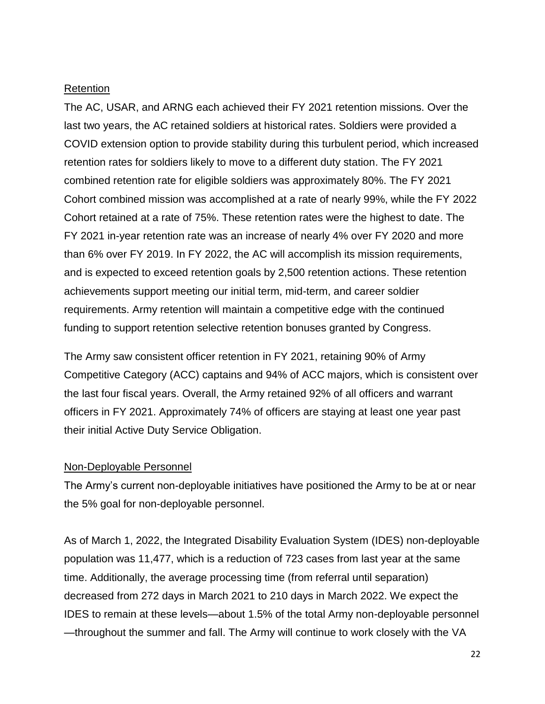#### Retention

The AC, USAR, and ARNG each achieved their FY 2021 retention missions. Over the last two years, the AC retained soldiers at historical rates. Soldiers were provided a COVID extension option to provide stability during this turbulent period, which increased retention rates for soldiers likely to move to a different duty station. The FY 2021 combined retention rate for eligible soldiers was approximately 80%. The FY 2021 Cohort combined mission was accomplished at a rate of nearly 99%, while the FY 2022 Cohort retained at a rate of 75%. These retention rates were the highest to date. The FY 2021 in-year retention rate was an increase of nearly 4% over FY 2020 and more than 6% over FY 2019. In FY 2022, the AC will accomplish its mission requirements, and is expected to exceed retention goals by 2,500 retention actions. These retention achievements support meeting our initial term, mid-term, and career soldier requirements. Army retention will maintain a competitive edge with the continued funding to support retention selective retention bonuses granted by Congress.

The Army saw consistent officer retention in FY 2021, retaining 90% of Army Competitive Category (ACC) captains and 94% of ACC majors, which is consistent over the last four fiscal years. Overall, the Army retained 92% of all officers and warrant officers in FY 2021. Approximately 74% of officers are staying at least one year past their initial Active Duty Service Obligation.

### Non-Deployable Personnel

The Army's current non-deployable initiatives have positioned the Army to be at or near the 5% goal for non-deployable personnel.

As of March 1, 2022, the Integrated Disability Evaluation System (IDES) non-deployable population was 11,477, which is a reduction of 723 cases from last year at the same time. Additionally, the average processing time (from referral until separation) decreased from 272 days in March 2021 to 210 days in March 2022. We expect the IDES to remain at these levels—about 1.5% of the total Army non-deployable personnel —throughout the summer and fall. The Army will continue to work closely with the VA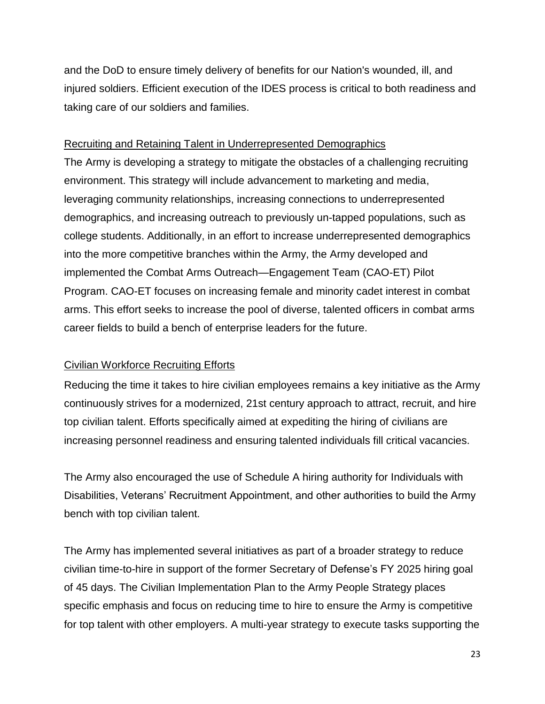and the DoD to ensure timely delivery of benefits for our Nation's wounded, ill, and injured soldiers. Efficient execution of the IDES process is critical to both readiness and taking care of our soldiers and families.

## Recruiting and Retaining Talent in Underrepresented Demographics

The Army is developing a strategy to mitigate the obstacles of a challenging recruiting environment. This strategy will include advancement to marketing and media, leveraging community relationships, increasing connections to underrepresented demographics, and increasing outreach to previously un-tapped populations, such as college students. Additionally, in an effort to increase underrepresented demographics into the more competitive branches within the Army, the Army developed and implemented the Combat Arms Outreach—Engagement Team (CAO-ET) Pilot Program. CAO-ET focuses on increasing female and minority cadet interest in combat arms. This effort seeks to increase the pool of diverse, talented officers in combat arms career fields to build a bench of enterprise leaders for the future.

# Civilian Workforce Recruiting Efforts

Reducing the time it takes to hire civilian employees remains a key initiative as the Army continuously strives for a modernized, 21st century approach to attract, recruit, and hire top civilian talent. Efforts specifically aimed at expediting the hiring of civilians are increasing personnel readiness and ensuring talented individuals fill critical vacancies.

The Army also encouraged the use of Schedule A hiring authority for Individuals with Disabilities, Veterans' Recruitment Appointment, and other authorities to build the Army bench with top civilian talent.

The Army has implemented several initiatives as part of a broader strategy to reduce civilian time-to-hire in support of the former Secretary of Defense's FY 2025 hiring goal of 45 days. The Civilian Implementation Plan to the Army People Strategy places specific emphasis and focus on reducing time to hire to ensure the Army is competitive for top talent with other employers. A multi-year strategy to execute tasks supporting the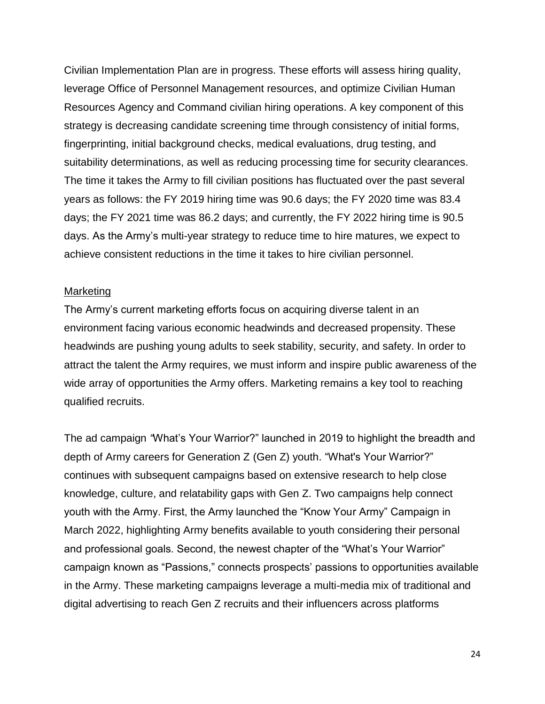Civilian Implementation Plan are in progress. These efforts will assess hiring quality, leverage Office of Personnel Management resources, and optimize Civilian Human Resources Agency and Command civilian hiring operations. A key component of this strategy is decreasing candidate screening time through consistency of initial forms, fingerprinting, initial background checks, medical evaluations, drug testing, and suitability determinations, as well as reducing processing time for security clearances. The time it takes the Army to fill civilian positions has fluctuated over the past several years as follows: the FY 2019 hiring time was 90.6 days; the FY 2020 time was 83.4 days; the FY 2021 time was 86.2 days; and currently, the FY 2022 hiring time is 90.5 days. As the Army's multi-year strategy to reduce time to hire matures, we expect to achieve consistent reductions in the time it takes to hire civilian personnel.

#### Marketing

The Army's current marketing efforts focus on acquiring diverse talent in an environment facing various economic headwinds and decreased propensity. These headwinds are pushing young adults to seek stability, security, and safety. In order to attract the talent the Army requires, we must inform and inspire public awareness of the wide array of opportunities the Army offers. Marketing remains a key tool to reaching qualified recruits.

The ad campaign *"*What's Your Warrior?" launched in 2019 to highlight the breadth and depth of Army careers for Generation Z (Gen Z) youth. "What's Your Warrior?" continues with subsequent campaigns based on extensive research to help close knowledge, culture, and relatability gaps with Gen Z. Two campaigns help connect youth with the Army. First, the Army launched the "Know Your Army" Campaign in March 2022, highlighting Army benefits available to youth considering their personal and professional goals. Second, the newest chapter of the "What's Your Warrior" campaign known as "Passions," connects prospects' passions to opportunities available in the Army. These marketing campaigns leverage a multi-media mix of traditional and digital advertising to reach Gen Z recruits and their influencers across platforms